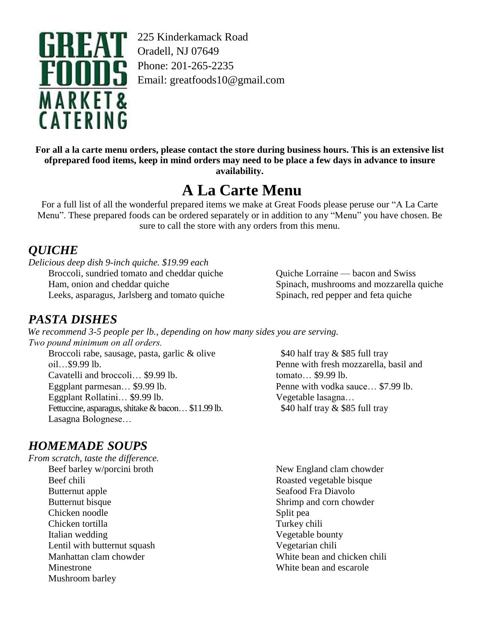

225 Kinderkamack Road Phone: 201-265-2235 Email: greatfoods10@gmail.com

For all a la carte menu orders, please contact the store during business hours. This is an extensive list of prepared food items, keep in mind orders may need to be place a few days in advance to insure **availability.**

# **A La Carte Menu**

For a full list of all the wonderful prepared items we make at Great Foods please peruse our "A La Carte Menu". These prepared foods can be ordered separately or in addition to any "Menu" you have chosen. Be sure to call the store with any orders from this menu.

# *QUICHE*

*Delicious deep dish 9-inch quiche. \$19.99 each* Broccoli, sundried tomato and cheddar quiche Ham, onion and cheddar quiche Leeks, asparagus, Jarlsberg and tomato quiche

*PASTA DISHES*

*We recommend 3-5 people per lb., depending on how many sides you are serving. Two pound minimum on all orders.*

Broccoli rabe, sausage, pasta, garlic & olive oil…\$9.99 lb. Cavatelli and broccoli… \$9.99 lb. Eggplant parmesan… \$9.99 lb. Eggplant Rollatini… \$9.99 lb. Fettuccine, asparagus, shitake & bacon... \$11.99 lb. Lasagna Bolognese…

# *HOMEMADE SOUPS*

*From scratch, taste the difference.* Beef barley w/porcini broth Beef chili Butternut apple Butternut bisque Chicken noodle Chicken tortilla Italian wedding Lentil with butternut squash Manhattan clam chowder Minestrone Mushroom barley

Quiche Lorraine — bacon and Swiss Spinach, mushrooms and mozzarella quiche Spinach, red pepper and feta quiche

\$40 half tray & \$85 full tray Penne with fresh mozzarella, basil and tomato… \$9.99 lb. Penne with vodka sauce… \$7.99 lb. Vegetable lasagna… \$40 half tray & \$85 full tray

New England clam chowder Roasted vegetable bisque Seafood Fra Diavolo Shrimp and corn chowder Split pea Turkey chili Vegetable bounty Vegetarian chili White bean and chicken chili White bean and escarole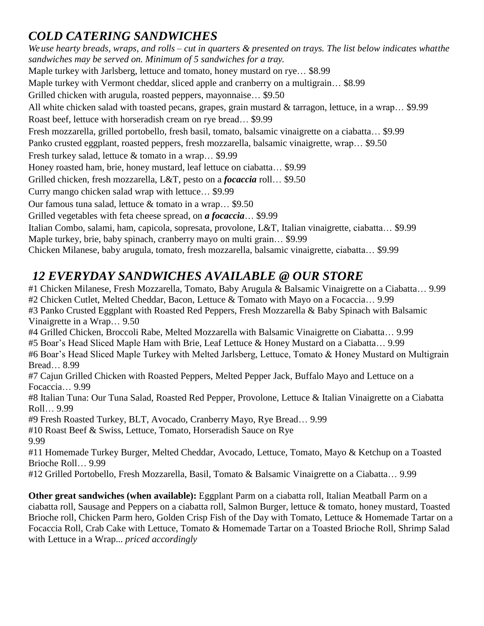# *COLD CATERING SANDWICHES*

We use hearty breads, wraps, and rolls – cut in quarters  $\&$  presented on trays. The list below indicates whatthe *sandwiches may be served on. Minimum of 5 sandwiches for a tray.* Maple turkey with Jarlsberg, lettuce and tomato, honey mustard on rye… \$8.99 Maple turkey with Vermont cheddar, sliced apple and cranberry on a multigrain… \$8.99 Grilled chicken with arugula, roasted peppers, mayonnaise… \$9.50 All white chicken salad with toasted pecans, grapes, grain mustard & tarragon, lettuce, in a wrap… \$9.99 Roast beef, lettuce with horseradish cream on rye bread… \$9.99 Fresh mozzarella, grilled portobello, fresh basil, tomato, balsamic vinaigrette on a ciabatta… \$9.99 Panko crusted eggplant, roasted peppers, fresh mozzarella, balsamic vinaigrette, wrap… \$9.50 Fresh turkey salad, lettuce & tomato in a wrap… \$9.99 Honey roasted ham, brie, honey mustard, leaf lettuce on ciabatta… \$9.99 Grilled chicken, fresh mozzarella, L&T, pesto on a *focaccia* roll… \$9.50 Curry mango chicken salad wrap with lettuce… \$9.99 Our famous tuna salad, lettuce & tomato in a wrap… \$9.50 Grilled vegetables with feta cheese spread, on *a focaccia*… \$9.99 Italian Combo, salami, ham, capicola, sopresata, provolone, L&T, Italian vinaigrette, ciabatta… \$9.99 Maple turkey, brie, baby spinach, cranberry mayo on multi grain… \$9.99 Chicken Milanese, baby arugula, tomato, fresh mozzarella, balsamic vinaigrette, ciabatta… \$9.99

#### *12 EVERYDAY SANDWICHES AVAILABLE @ OUR STORE*

#1 Chicken Milanese, Fresh Mozzarella, Tomato, Baby Arugula & Balsamic Vinaigrette on a Ciabatta… 9.99 #2 Chicken Cutlet, Melted Cheddar, Bacon, Lettuce & Tomato with Mayo on a Focaccia… 9.99 #3 Panko Crusted Eggplant with Roasted Red Peppers, Fresh Mozzarella & Baby Spinach with Balsamic Vinaigrette in a Wrap… 9.50 #4 Grilled Chicken, Broccoli Rabe, Melted Mozzarella with Balsamic Vinaigrette on Ciabatta… 9.99 #5 Boar's Head Sliced Maple Ham with Brie, Leaf Lettuce & Honey Mustard on a Ciabatta… 9.99 #6 Boar's Head Sliced Maple Turkey with Melted Jarlsberg, Lettuce, Tomato & Honey Mustard on Multigrain Bread… 8.99 #7 Cajun Grilled Chicken with Roasted Peppers, Melted Pepper Jack, Buffalo Mayo and Lettuce on a Focaccia… 9.99 #8 Italian Tuna: Our Tuna Salad, Roasted Red Pepper, Provolone, Lettuce & Italian Vinaigrette on a Ciabatta Roll… 9.99 #9 Fresh Roasted Turkey, BLT, Avocado, Cranberry Mayo, Rye Bread… 9.99 #10 Roast Beef & Swiss, Lettuce, Tomato, Horseradish Sauce on Rye 9.99 #11 Homemade Turkey Burger, Melted Cheddar, Avocado, Lettuce, Tomato, Mayo & Ketchup on a Toasted Brioche Roll… 9.99

#12 Grilled Portobello, Fresh Mozzarella, Basil, Tomato & Balsamic Vinaigrette on a Ciabatta… 9.99

**Other great sandwiches (when available):** Eggplant Parm on a ciabatta roll, Italian Meatball Parm on a ciabatta roll, Sausage and Peppers on a ciabatta roll, Salmon Burger, lettuce & tomato, honey mustard, Toasted Brioche roll, Chicken Parm hero, Golden Crisp Fish of the Day with Tomato, Lettuce & Homemade Tartar on a Focaccia Roll, Crab Cake with Lettuce, Tomato & Homemade Tartar on a Toasted Brioche Roll, Shrimp Salad with Lettuce in a Wrap... *priced accordingly*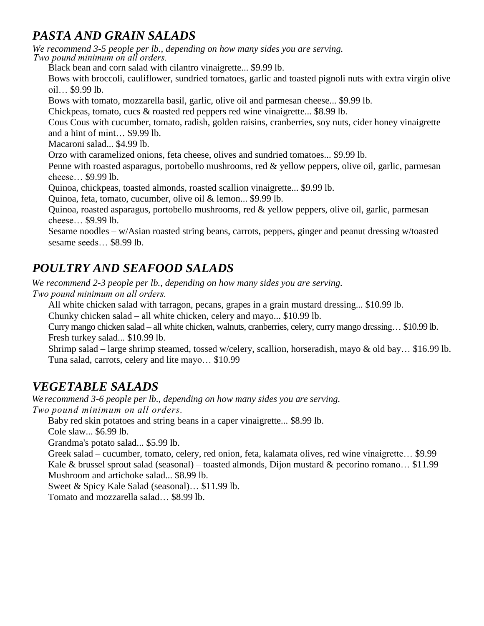# *PASTA AND GRAIN SALADS*

*We recommend 3-5 people per lb., depending on how many sides you are serving. Two pound minimum on all orders.*

Black bean and corn salad with cilantro vinaigrette... \$9.99 lb.

Bows with broccoli, cauliflower, sundried tomatoes, garlic and toasted pignoli nuts with extra virgin olive oil… \$9.99 lb.

Bows with tomato, mozzarella basil, garlic, olive oil and parmesan cheese... \$9.99 lb.

Chickpeas, tomato, cucs & roasted red peppers red wine vinaigrette... \$8.99 lb.

Cous Cous with cucumber, tomato, radish, golden raisins, cranberries, soy nuts, cider honey vinaigrette and a hint of mint… \$9.99 lb.

Macaroni salad... \$4.99 lb.

Orzo with caramelized onions, feta cheese, olives and sundried tomatoes... \$9.99 lb.

Penne with roasted asparagus, portobello mushrooms, red & yellow peppers, olive oil, garlic, parmesan cheese… \$9.99 lb.

Quinoa, chickpeas, toasted almonds, roasted scallion vinaigrette... \$9.99 lb.

Quinoa, feta, tomato, cucumber, olive oil & lemon... \$9.99 lb.

Quinoa, roasted asparagus, portobello mushrooms, red & yellow peppers, olive oil, garlic, parmesan cheese… \$9.99 lb.

Sesame noodles – w/Asian roasted string beans, carrots, peppers, ginger and peanut dressing w/toasted sesame seeds… \$8.99 lb.

# *POULTRY AND SEAFOOD SALADS*

*We recommend 2-3 people per lb., depending on how many sides you are serving. Two pound minimum on all orders.*

All white chicken salad with tarragon, pecans, grapes in a grain mustard dressing... \$10.99 lb.

Chunky chicken salad – all white chicken, celery and mayo... \$10.99 lb.

Curry mango chicken salad – all white chicken, walnuts, cranberries, celery, curry mango dressing… \$10.99 lb. Fresh turkey salad... \$10.99 lb.

Shrimp salad – large shrimp steamed, tossed w/celery, scallion, horseradish, mayo & old bay… \$16.99 lb. Tuna salad, carrots, celery and lite mayo… \$10.99

#### *VEGETABLE SALADS*

*We recommend 3-6 people per lb., depending on how many sides you are serving. Two pound minimum on all orders.*

Baby red skin potatoes and string beans in a caper vinaigrette... \$8.99 lb.

Cole slaw... \$6.99 lb.

Grandma's potato salad... \$5.99 lb.

Greek salad – cucumber, tomato, celery, red onion, feta, kalamata olives, red wine vinaigrette… \$9.99 Kale & brussel sprout salad (seasonal) – toasted almonds, Dijon mustard & pecorino romano... \$11.99 Mushroom and artichoke salad... \$8.99 lb.

Sweet & Spicy Kale Salad (seasonal)… \$11.99 lb.

Tomato and mozzarella salad… \$8.99 lb.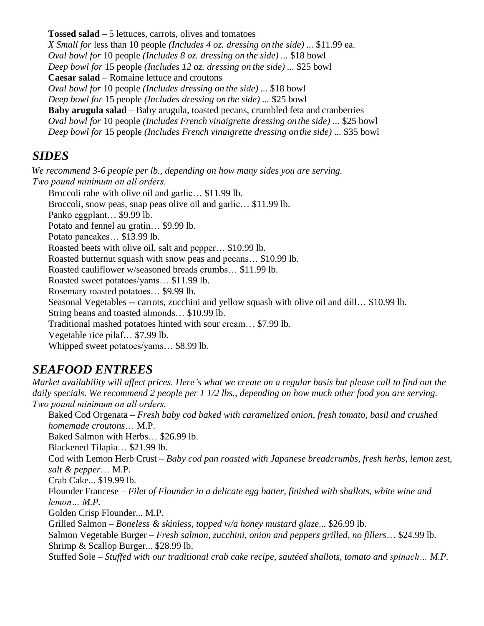**Tossed salad** – 5 lettuces, carrots, olives and tomatoes *X Small for* less than 10 people *(Includes 4 oz. dressing on the side) ...* \$11.99 ea. *Oval bowl for* 10 people *(Includes 8 oz. dressing on the side) ...* \$18 bowl *Deep bowl for* 15 people *(Includes 12 oz. dressing on the side) ...* \$25 bowl **Caesar salad** – Romaine lettuce and croutons *Oval bowl for* 10 people *(Includes dressing on the side) ...* \$18 bowl *Deep bowl for* 15 people *(Includes dressing on the side) ...* \$25 bowl **Baby arugula salad** – Baby arugula, toasted pecans, crumbled feta and cranberries *Oval bowl for* 10 people *(Includes French vinaigrette dressing on the side) ...* \$25 bowl *Deep bowl for* 15 people *(Includes French vinaigrette dressing on the side) ...* \$35 bowl

#### *SIDES*

*We recommend 3-6 people per lb., depending on how many sides you are serving. Two pound minimum on all orders.*

Broccoli rabe with olive oil and garlic… \$11.99 lb. Broccoli, snow peas, snap peas olive oil and garlic... \$11.99 lb. Panko eggplant… \$9.99 lb. Potato and fennel au gratin… \$9.99 lb. Potato pancakes… \$13.99 lb. Roasted beets with olive oil, salt and pepper… \$10.99 lb. Roasted butternut squash with snow peas and pecans… \$10.99 lb. Roasted cauliflower w/seasoned breads crumbs… \$11.99 lb. Roasted sweet potatoes/yams… \$11.99 lb. Rosemary roasted potatoes… \$9.99 lb. Seasonal Vegetables -- carrots, zucchini and yellow squash with olive oil and dill… \$10.99 lb. String beans and toasted almonds… \$10.99 lb. Traditional mashed potatoes hinted with sour cream… \$7.99 lb. Vegetable rice pilaf… \$7.99 lb. Whipped sweet potatoes/yams… \$8.99 lb.

# *SEAFOOD ENTREES*

Market availability will affect prices. Here's what we create on a regular basis but please call to find out the daily specials. We recommend 2 people per  $1/2$  lbs., depending on how much other food you are serving. *Two pound minimum on all orders.*

Baked Cod Orgenata – *Fresh baby cod baked with caramelized onion, fresh tomato, basil and crushed homemade croutons*… M.P. Baked Salmon with Herbs… \$26.99 lb. Blackened Tilapia… \$21.99 lb. Cod with Lemon Herb Crust – *Baby cod pan roasted with Japanese breadcrumbs, fresh herbs, lemon zest, salt & pepper*… M.P. Crab Cake... \$19.99 lb. Flounder Francese – *Filet of Flounder in a delicate egg batter, finished with shallots, white wine and lemon… M.P.* Golden Crisp Flounder... M.P. Grilled Salmon – *Boneless & skinless, topped w/a honey mustard glaze*... \$26.99 lb. Salmon Vegetable Burger – *Fresh salmon, zucchini, onion and peppers grilled, no fillers*… \$24.99 lb. Shrimp & Scallop Burger... \$28.99 lb.

Stuffed Sole – *Stuffed with our traditional crab cake recipe, sautéed shallots, tomato and spinach… M.P.*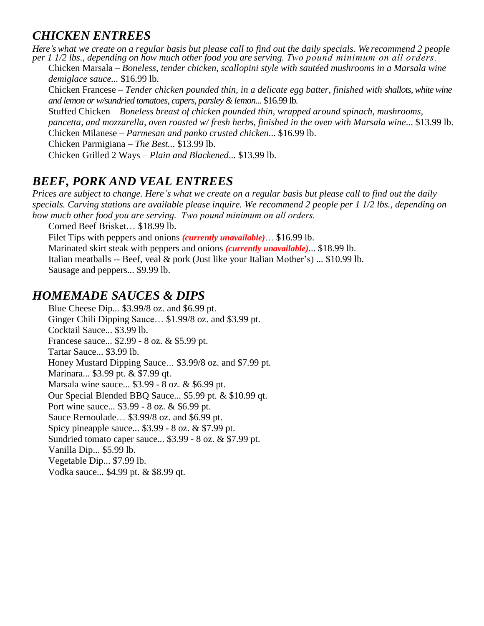# *CHICKEN ENTREES*

Here's what we create on a regular basis but please call to find out the daily specials. We recommend 2 people per 1 1/2 lbs., depending on how much other food you are serving. Two pound minimum on all orders.

Chicken Marsala – *Boneless, tender chicken, scallopini style with sautéed mushrooms in a Marsala wine demiglace sauce...* \$16.99 lb.

Chicken Francese – *Tender chicken pounded thin, in a delicate egg batter, finished with shallots,whitewine and lemon or w/sundried tomatoes, capers, parsley &lemon*... \$16.99 lb.

Stuffed Chicken – *Boneless breast of chicken pounded thin, wrapped around spinach, mushrooms,*

*pancetta, and mozzarella, oven roasted w/ fresh herbs, finished in the oven with Marsala wine*... \$13.99 lb. Chicken Milanese – *Parmesan and panko crusted chicken*... \$16.99 lb.

Chicken Parmigiana – *The Best..*. \$13.99 lb.

Chicken Grilled 2 Ways – *Plain and Blackened*... \$13.99 lb.

#### *BEEF, PORK AND VEAL ENTREES*

Prices are subject to change. Here's what we create on a regular basis but please call to find out the daily specials. Carving stations are available please inquire. We recommend 2 people per 1 1/2 lbs., depending on *how much other food you are serving. Two pound minimum on all orders.*

Corned Beef Brisket… \$18.99 lb. Filet Tips with peppers and onions *(currently unavailable)*… \$16.99 lb. Marinated skirt steak with peppers and onions *(currently unavailable)*... \$18.99 lb. Italian meatballs -- Beef, veal & pork (Just like your Italian Mother's) ... \$10.99 lb. Sausage and peppers... \$9.99 lb.

#### *HOMEMADE SAUCES & DIPS*

Blue Cheese Dip*...* \$3.99/8 oz. and \$6.99 pt. Ginger Chili Dipping Sauce… \$1.99/8 oz. and \$3.99 pt. Cocktail Sauce... \$3.99 lb. Francese sauce... \$2.99 - 8 oz. & \$5.99 pt. Tartar Sauce... \$3.99 lb. Honey Mustard Dipping Sauce*…* \$3.99/8 oz. and \$7.99 pt. Marinara... \$3.99 pt. & \$7.99 qt. Marsala wine sauce... \$3.99 - 8 oz. & \$6.99 pt. Our Special Blended BBQ Sauce... \$5.99 pt. & \$10.99 qt. Port wine sauce... \$3.99 - 8 oz. & \$6.99 pt. Sauce Remoulade… \$3.99/8 oz. and \$6.99 pt. Spicy pineapple sauce... \$3.99 - 8 oz. & \$7.99 pt. Sundried tomato caper sauce... \$3.99 - 8 oz. & \$7.99 pt. Vanilla Dip... \$5.99 lb. Vegetable Dip... \$7.99 lb. Vodka sauce... \$4.99 pt. & \$8.99 qt.